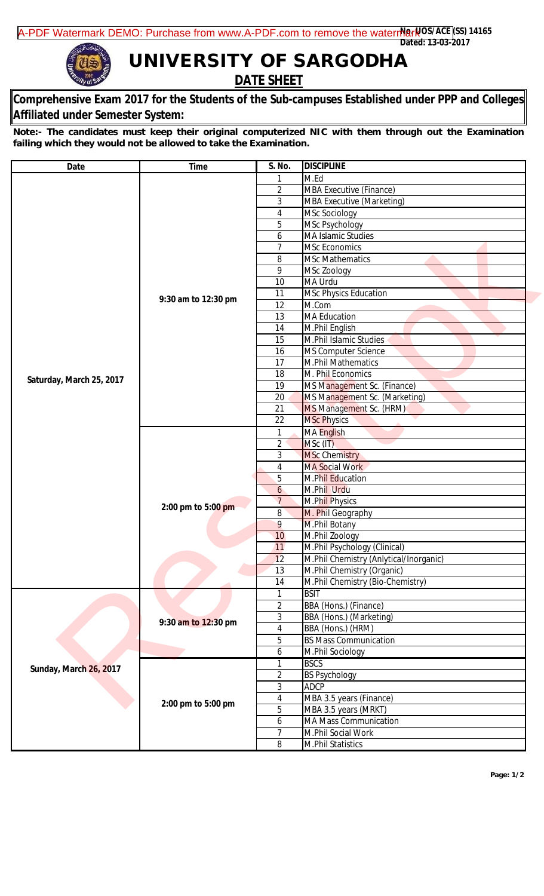**UNIVERSITY OF SARGODHA DATE SHEET**

## **Comprehensive Exam 2017 for the Students of the Sub-campuses Established under PPP and Colleges Affiliated under Semester System:**

**Note:- The candidates must keep their original computerized NIC with them through out the Examination failing which they would not be allowed to take the Examination.**

| <b>Date</b>                   | <b>Time</b>                               | S. No.              | <b>DISCIPLINE</b>                      |
|-------------------------------|-------------------------------------------|---------------------|----------------------------------------|
|                               |                                           | 1                   | M.Ed                                   |
| Saturday, March 25, 2017      | 9:30 am to 12:30 pm                       | $\overline{2}$      | <b>MBA Executive (Finance)</b>         |
|                               |                                           | 3                   | <b>MBA Executive (Marketing)</b>       |
|                               |                                           | 4                   | <b>MSc Sociology</b>                   |
|                               |                                           | 5                   | MSc Psychology                         |
|                               |                                           | 6                   | MA Islamic Studies                     |
|                               |                                           | $\overline{7}$      | <b>MSc Economics</b>                   |
|                               |                                           | 8                   | <b>MSc Mathematics</b>                 |
|                               |                                           | 9                   | MSc Zoology                            |
|                               |                                           | 10                  | MA Urdu                                |
|                               |                                           | 11                  | <b>MSc Physics Education</b>           |
|                               |                                           | 12                  | M.Com                                  |
|                               |                                           | 13                  | <b>MA Education</b>                    |
|                               |                                           | 14                  | M.Phil English                         |
|                               |                                           | 15                  | M.Phil Islamic Studies                 |
|                               |                                           | 16                  | MS Computer Science                    |
|                               |                                           | 17                  | <b>M.Phil Mathematics</b>              |
|                               |                                           | 18                  | M. Phil Economics                      |
|                               |                                           | 19                  | MS Management Sc. (Finance)            |
|                               |                                           | 20                  | MS Management Sc. (Marketing)          |
|                               |                                           | 21                  | MS Management Sc. (HRM)                |
|                               |                                           | 22                  | <b>MSc Physics</b>                     |
|                               | 2:00 pm to 5:00 pm                        | $\mathbf{1}$        | <b>MA English</b>                      |
|                               |                                           | $\overline{2}$      | MSc (IT)                               |
|                               |                                           | 3                   | <b>MSc Chemistry</b>                   |
|                               |                                           | $\overline{4}$      | <b>MA Social Work</b>                  |
|                               |                                           | 5                   | M.Phil Education                       |
|                               |                                           | $\mathfrak{b}$      | M.Phil Urdu                            |
|                               |                                           | $\overline{7}$      | M.Phil Physics                         |
|                               |                                           | 8                   | M. Phil Geography                      |
|                               |                                           | 9                   | M.Phil Botany                          |
|                               |                                           | 10                  | M.Phil Zoology                         |
|                               |                                           | 11                  | M.Phil Psychology (Clinical)           |
|                               |                                           | 12                  | M.Phil Chemistry (Anlytical/Inorganic) |
|                               |                                           | 13                  | M.Phil Chemistry (Organic)             |
|                               |                                           | 14                  | M.Phil Chemistry (Bio-Chemistry)       |
|                               |                                           | 1                   | <b>BSIT</b>                            |
| <b>Sunday, March 26, 2017</b> | 9:30 am to 12:30 pm<br>2:00 pm to 5:00 pm | $\overline{2}$      | <b>BBA</b> (Hons.) (Finance)           |
|                               |                                           | 3                   | <b>BBA</b> (Hons.) (Marketing)         |
|                               |                                           | $\overline{4}$      | BBA (Hons.) (HRM)                      |
|                               |                                           | 5                   | <b>BS Mass Communication</b>           |
|                               |                                           | 6                   | M.Phil Sociology                       |
|                               |                                           | 1                   | <b>BSCS</b>                            |
|                               |                                           | $\overline{2}$      | <b>BS Psychology</b>                   |
|                               |                                           | 3                   | <b>ADCP</b>                            |
|                               |                                           | $\overline{4}$      | MBA 3.5 years (Finance)                |
|                               |                                           | 5                   | MBA 3.5 years (MRKT)                   |
|                               |                                           |                     | MA Mass Communication                  |
|                               |                                           | 6<br>$\overline{7}$ |                                        |
|                               |                                           |                     | M.Phil Social Work                     |
|                               |                                           | 8                   | M.Phil Statistics                      |